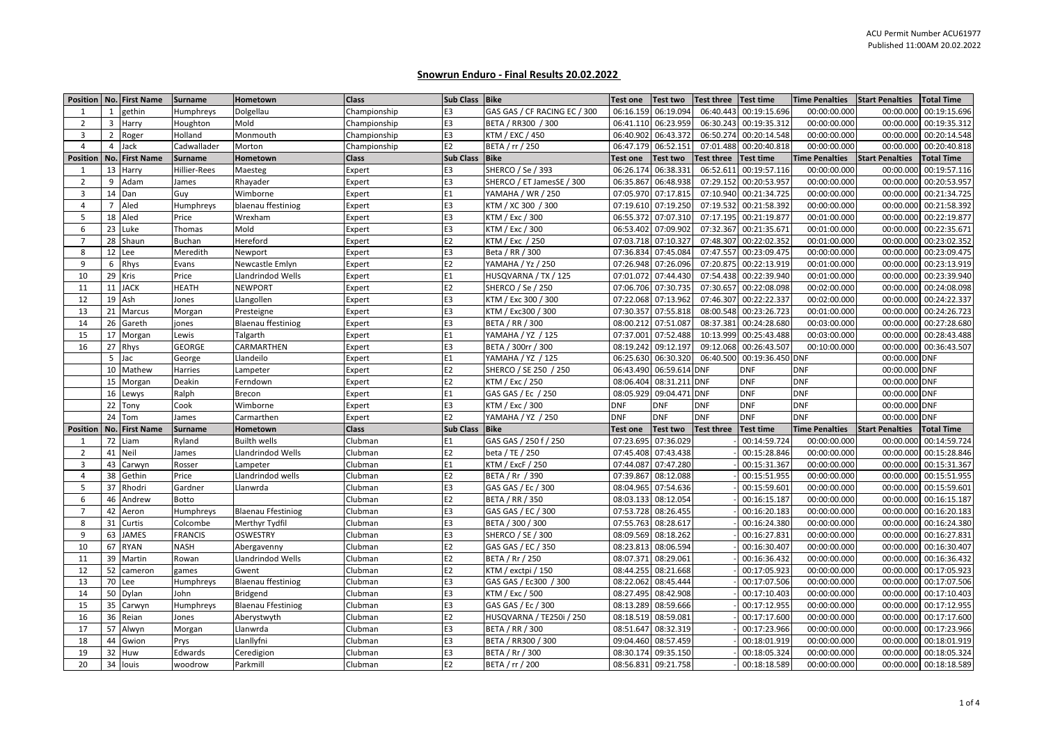## **Snowrun Enduro - Final Results 20.02.2022**

| Position        |                | No. First Name | <b>Surname</b> | Hometown                  | <b>Class</b> | <b>Sub Class</b> | Bike                         | <b>Test one</b> | <b>Test two</b>     | <b>Test three</b> | <b>Test time</b> | <b>Time Penalties</b> | <b>Start Penalties</b> | <b>Total Time</b>      |
|-----------------|----------------|----------------|----------------|---------------------------|--------------|------------------|------------------------------|-----------------|---------------------|-------------------|------------------|-----------------------|------------------------|------------------------|
| -1              | $\mathbf{1}$   | gethin         | Humphreys      | Dolgellau                 | Championship | E <sub>3</sub>   | GAS GAS / CF RACING EC / 300 | 06:16.159       | 06:19.094           | 06:40.443         | 00:19:15.696     | 00:00:00.000          | 00:00.000              | 00:19:15.696           |
| $\overline{2}$  | 3              | Harry          | Houghton       | Mold                      | Championship | E3               | BETA / RR300 / 300           | 06:41.110       | 06:23.959           | 06:30.243         | 00:19:35.312     | 00:00:00.000          | 00:00.000              | 00:19:35.312           |
| 3               | 2              | Roger          | Holland        | Monmouth                  | Championship | E3               | KTM / EXC / 450              | 06:40.902       | 06:43.37            | 06:50.274         | 00:20:14.548     | 00:00:00.000          | 00:00.000              | 00:20:14.548           |
| $\overline{4}$  | 4              | Jack           | Cadwallader    | Morton                    | Championship | E <sub>2</sub>   | BETA / rr / 250              |                 | 06:47.179 06:52.151 | 07:01.488         | 00:20:40.818     | 00:00:00.000          | 00:00.000              | 00:20:40.818           |
| <b>Position</b> |                | No. First Name | <b>Surname</b> | Hometown                  | <b>Class</b> | <b>Sub Class</b> | <b>Bike</b>                  | <b>Test one</b> | <b>Test two</b>     | <b>Test three</b> | <b>Test time</b> | <b>Time Penalties</b> | <b>Start Penalties</b> | <b>Total Time</b>      |
| 1               |                | 13 Harry       | Hillier-Rees   | Maesteg                   | Expert       | E <sub>3</sub>   | SHERCO / Se / 393            |                 | 06:26.174 06:38.331 | 06:52.611         | 00:19:57.116     | 00:00:00.000          | 00:00.000              | 00:19:57.116           |
| 2               | 9              | Adam           | James          | Rhayader                  | Expert       | E <sub>3</sub>   | SHERCO / ET JamesSE / 300    | 06:35.867       | 06:48.938           | 07:29.152         | 00:20:53.957     | 00:00:00.000          | 00:00.000              | 00:20:53.957           |
| 3               |                | 14 Dan         | Guy            | Wimborne                  | Expert       | E1               | YAMAHA / WR / 250            | 07:05.970       | 07:17.815           | 07:10.940         | 00:21:34.725     | 00:00:00.000          | 00:00.000              | 00:21:34.725           |
| $\overline{4}$  | $\overline{7}$ | Aled           | Humphreys      | blaenau ffestiniog        | Expert       | E <sub>3</sub>   | KTM / XC 300 / 300           | 07:19.610       | 07:19.250           | 07:19.532         | 00:21:58.392     | 00:00:00.000          | 00:00.000              | 00:21:58.392           |
| 5               |                | 18 Aled        | Price          | Wrexham                   | Expert       | E3               | KTM / Exc / 300              | 06:55.372       | 07:07.310           | 07:17.195         | 00:21:19.877     | 00:01:00.000          | 00:00.000              | 00:22:19.877           |
| 6               |                | 23 Luke        | Thomas         | Mold                      | Expert       | E3               | KTM / Exc / 300              | 06:53.402       | 07:09.902           | 07:32.367         | 00:21:35.671     | 00:01:00.000          | 00:00.000              | 00:22:35.671           |
| $\overline{7}$  |                | 28 Shaun       | Buchan         | Hereford                  | Expert       | E <sub>2</sub>   | KTM / Exc / 250              |                 | 07:03.718 07:10.327 | 07:48.307         | 00:22:02.352     | 00:01:00.000          | 00:00.000              | 00:23:02.352           |
| 8               |                | 12 Lee         | Meredith       | Newport                   | Expert       | E3               | Beta / RR / 300              | 07:36.834       | 07:45.084           | 07:47.557         | 00:23:09.475     | 00:00:00.000          | 00:00.000              | 00:23:09.475           |
| 9               | 6              | Rhys           | Evans          | Newcastle Emlyn           | Expert       | E <sub>2</sub>   | YAMAHA / Yz / 250            |                 | 07:26.948 07:26.096 | 07:20.875         | 00:22:13.919     | 00:01:00.000          | 00:00.000              | 00:23:13.919           |
| 10              |                | 29 Kris        | Price          | Llandrindod Wells         | Expert       | E1               | HUSQVARNA / TX / 125         | 07:01.072       | 07:44.430           | 07:54.438         | 00:22:39.940     | 00:01:00.000          | 00:00.000              | 00:23:39.940           |
| 11              |                | 11 JACK        | HEATH          | NEWPORT                   | Expert       | E <sub>2</sub>   | SHERCO / Se / 250            |                 | 07:06.706 07:30.735 | 07:30.657         | 00:22:08.098     | 00:02:00.000          | 00:00.000              | 00:24:08.098           |
| 12              |                | 19 Ash         | Jones          | Llangollen                | Expert       | E3               | KTM / Exc 300 / 300          | 07:22.068       | 07:13.962           | 07:46.307         | 00:22:22.337     | 00:02:00.000          | 00:00.000              | 00:24:22.337           |
| 13              |                | 21 Marcus      | Morgan         | Presteigne                | Expert       | E3               | KTM / Exc300 / 300           | 07:30.357       | 07:55.818           | 08:00.548         | 00:23:26.723     | 00:01:00.000          | 00:00.000              | 00:24:26.723           |
| 14              | 26             | Gareth         | jones          | Blaenau ffestiniog        | Expert       | E <sub>3</sub>   | <b>BETA / RR / 300</b>       | 08:00.212       | 07:51.087           | 08:37.381         | 00:24:28.680     | 00:03:00.000          | 00:00.000              | 00:27:28.680           |
| 15              |                | 17 Morgan      | Lewis          | Talgarth                  | Expert       | E <sub>1</sub>   | YAMAHA / YZ / 125            | 07:37.001       | 07:52.488           | 10:13.999         | 00:25:43.488     | 00:03:00.000          | 00:00.000              | 00:28:43.488           |
| 16              |                | 27 Rhys        | GEORGE         | CARMARTHEN                | Expert       | E3               | BETA / 300rr / 300           | 08:19.242       | 09:12.197           | 09:12.068         | 00:26:43.507     | 00:10:00.000          | 00:00.000              | 00:36:43.507           |
|                 | 5              | Jac            | George         | Llandeilo                 | Expert       | E1               | YAMAHA / YZ / 125            | 06:25.630       | 06:30.320           | 06:40.500         | 00:19:36.450 DNF |                       | 00:00.000              | <b>DNF</b>             |
|                 |                | 10 Mathew      | Harries        | Lampeter                  | Expert       | E <sub>2</sub>   | SHERCO / SE 250 / 250        | 06:43.490       | 06:59.614 DNF       |                   | <b>DNF</b>       | <b>DNF</b>            | 00:00.000 DNF          |                        |
|                 |                | 15 Morgan      | Deakin         | Ferndown                  | Expert       | E <sub>2</sub>   | KTM / Exc / 250              | 08:06.404       | 08:31.211           | <b>DNF</b>        | <b>DNF</b>       | <b>DNF</b>            | 00:00.000 DNF          |                        |
|                 |                | 16 Lewys       | Ralph          | Brecon                    | Expert       | E1               | GAS GAS / Ec / 250           | 08:05.929       | 09:04.471 DNF       |                   | <b>DNF</b>       | <b>DNF</b>            | 00:00.000 DNF          |                        |
|                 |                | 22 Tony        | Cook           | Wimborne                  | Expert       | E <sub>3</sub>   | KTM / Exc / 300              | <b>DNF</b>      | <b>DNF</b>          | <b>DNF</b>        | <b>DNF</b>       | <b>DNF</b>            | 00:00.000 DNF          |                        |
|                 |                | 24 Tom         | James          | Carmarthen                | Expert       | E2               | YAMAHA / YZ / 250            | <b>DNF</b>      | <b>DNF</b>          | <b>DNF</b>        | <b>DNF</b>       | <b>DNF</b>            | 00:00.000              | <b>DNF</b>             |
| <b>Position</b> |                | No. First Name | <b>Surname</b> | Hometown                  | <b>Class</b> | <b>Sub Class</b> | <b>Bike</b>                  | <b>Test one</b> | <b>Test two</b>     | <b>Test three</b> | <b>Test time</b> | <b>Time Penalties</b> | <b>Start Penalties</b> | <b>Total Time</b>      |
| -1              |                | 72 Liam        | Ryland         | Builth wells              | Clubman      | E1               | GAS GAS / 250 f / 250        | 07:23.695       | 07:36.029           |                   | 00:14:59.724     | 00:00:00.000          | 00:00.000              | 00:14:59.724           |
| $\overline{2}$  |                | 41 Neil        | James          | Llandrindod Wells         | Clubman      | E <sub>2</sub>   | beta / TE / 250              | 07:45.408       | 07:43.438           |                   | 00:15:28.846     | 00:00:00.000          | 00:00.000              | 00:15:28.846           |
| 3               | 43             | Carwyn         | Rosser         | Lampeter                  | Clubman      | E1               | KTM / ExcF / 250             | 07:44.087       | 07:47.280           |                   | 00:15:31.367     | 00:00:00.000          | 00:00.000              | 00:15:31.367           |
| $\overline{4}$  | 38             | Gethin         | Price          | Llandrindod wells         | Clubman      | E <sub>2</sub>   | BETA / Rr / 390              | 07:39.867       | 08:12.088           |                   | 00:15:51.955     | 00:00:00.000          | 00:00.000              | 00:15:51.955           |
| 5               |                | 37 Rhodri      | Gardner        | Llanwrda                  | Clubman      | E3               | GAS GAS / Ec / 300           | 08:04.965       | 07:54.636           |                   | 00:15:59.601     | 00:00:00.000          | 00:00.000              | 00:15:59.601           |
| 6               | 46             | Andrew         | Botto          |                           | Clubman      | E <sub>2</sub>   | BETA / RR / 350              | 08:03.133       | 08:12.054           |                   | 00:16:15.187     | 00:00:00.000          | 00:00.000              | 00:16:15.187           |
| $\overline{7}$  |                | 42 Aeron       | Humphreys      | <b>Blaenau Ffestiniog</b> | Clubman      | E3               | GAS GAS / EC / 300           | 07:53.728       | 08:26.455           |                   | 00:16:20.183     | 00:00:00.000          | 00:00.000              | 00:16:20.183           |
| 8               | 31             | Curtis         | Colcombe       | Merthyr Tydfil            | Clubman      | E3               | BETA / 300 / 300             | 07:55.763       | 08:28.617           |                   | 00:16:24.380     | 00:00:00.000          | 00:00.000              | 00:16:24.380           |
| 9               |                | 63 JAMES       | FRANCIS        | OSWESTRY                  | Clubman      | E3               | <b>SHERCO / SE / 300</b>     | 08:09.569       | 08:18.262           |                   | 00:16:27.831     | 00:00:00.000          | 00:00.000              | 00:16:27.831           |
| 10              | 67             | <b>RYAN</b>    | NASH           | Abergavenny               | Clubman      | E <sub>2</sub>   | GAS GAS / EC / 350           | 08:23.813       | 08:06.594           |                   | 00:16:30.407     | 00:00:00.000          | 00:00.000              | 00:16:30.407           |
| 11              | 39             | Martin         | Rowan          | Llandrindod Wells         | Clubman      | E <sub>2</sub>   | BETA / Rr / 250              | 08:07.371       | 08:29.061           |                   | 00:16:36.432     | 00:00:00.000          | 00:00.000              | 00:16:36.432           |
| 12              | 52             | cameron        | games          | Gwent                     | Clubman      | E <sub>2</sub>   | KTM / exctpi / 150           | 08:44.255       | 08:21.668           |                   | 00:17:05.923     | 00:00:00.000          | 00:00.000              | 00:17:05.923           |
| 13              |                | 70 Lee         | Humphreys      | <b>Blaenau ffestiniog</b> | Clubman      | E <sub>3</sub>   | GAS GAS / Ec300 / 300        | 08:22.062       | 08:45.444           |                   | 00:17:07.506     | 00:00:00.000          | 00:00.000              | 00:17:07.506           |
| 14              |                | 50 Dylan       | John           | <b>Bridgend</b>           | Clubman      | E <sub>3</sub>   | KTM / Exc / 500              | 08:27.495       | 08:42.908           |                   | 00:17:10.403     | 00:00:00.000          | 00:00.000              | 00:17:10.403           |
| 15              |                | 35 Carwyn      | Humphreys      | <b>Blaenau Ffestiniog</b> | Clubman      | E <sub>3</sub>   | GAS GAS / Ec / 300           | 08:13.289       | 08:59.666           |                   | 00:17:12.955     | 00:00:00.000          | 00:00.000              | 00:17:12.955           |
| 16              |                | 36 Reian       | Jones          | Aberystwyth               | Clubman      | E <sub>2</sub>   | HUSQVARNA / TE250i / 250     | 08:18.519       | 08:59.081           |                   | 00:17:17.600     | 00:00:00.000          | 00:00.000              | 00:17:17.600           |
| 17              | 57             | Alwyn          | Morgan         | Llanwrda                  | Clubman      | E3               | <b>BETA / RR / 300</b>       | 08:51.647       | 08:32.319           |                   | 00:17:23.966     | 00:00:00.000          | 00:00.000              | 00:17:23.966           |
| 18              |                | 44 Gwion       | Prys           | Llanllyfni                | Clubman      | E <sub>3</sub>   | BETA / RR300 / 300           | 09:04.460       | 08:57.459           |                   | 00:18:01.919     | 00:00:00.000          | 00:00.000              | 00:18:01.919           |
| 19              |                | 32 Huw         | Edwards        | Ceredigion                | Clubman      | E3               | BETA / Rr / 300              | 08:30.174       | 09:35.150           |                   | 00:18:05.324     | 00:00:00.000          | 00:00.000              | 00:18:05.324           |
| 20              |                | 34 louis       | woodrow        | Parkmill                  | Clubman      | E <sub>2</sub>   | BETA / rr / 200              |                 | 08:56.831 09:21.758 |                   | 00:18:18.589     | 00:00:00.000          |                        | 00:00.000 00:18:18.589 |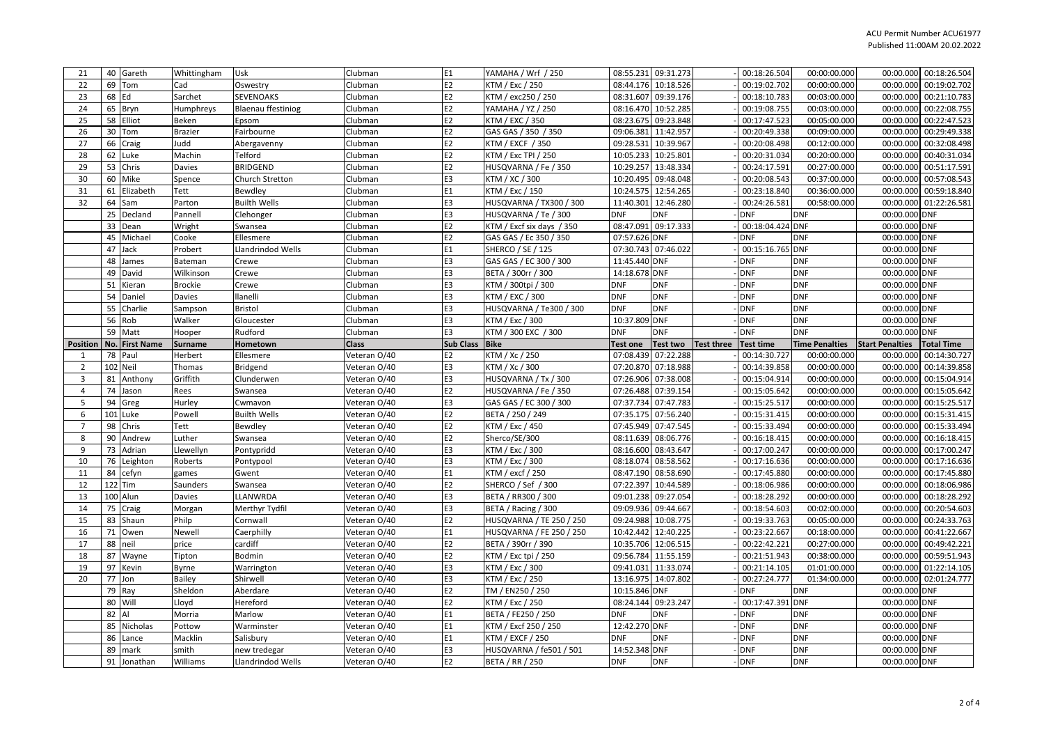| 21                      |          | 40 Gareth        | Whittingham       | Usk                               | Clubman                      | E <sub>1</sub>   | YAMAHA / Wrf / 250                         |                      | 08:55.231 09:31.273                  | 00:18:26.504             | 00:00:00.000             | 00:00.000 00:18:26.504                      |  |
|-------------------------|----------|------------------|-------------------|-----------------------------------|------------------------------|------------------|--------------------------------------------|----------------------|--------------------------------------|--------------------------|--------------------------|---------------------------------------------|--|
| 22                      |          | 69 Tom           | Cad               | Oswestry                          | Clubman                      | E <sub>2</sub>   | KTM / Exc / 250                            | 08:44.176            | 10:18.526                            | 00:19:02.702             | 00:00:00.000             | 00:19:02.702<br>00:00.000                   |  |
| 23                      | 68 Ed    |                  | Sarchet           | <b>SEVENOAKS</b>                  | Clubman                      | E <sub>2</sub>   | KTM / exc250 / 250                         | 08:31.607            | 09:39.176                            | 00:18:10.783             | 00:03:00.000             | 00:00.000<br>00:21:10.783                   |  |
| 24                      |          | 65 Bryn          | Humphreys         | <b>Blaenau ffestiniog</b>         | Clubman                      | E <sub>2</sub>   | YAMAHA / YZ / 250                          | 08:16.470            | 10:52.285                            | 00:19:08.755             | 00:03:00.000             | 00:22:08.755<br>00:00.000                   |  |
| 25                      |          | 58 Elliot        | Beken             | Epsom                             | Clubman                      | E <sub>2</sub>   | KTM / EXC / 350                            | 08:23.675            | 09:23.848                            | 00:17:47.523             | 00:05:00.000             | 00:00.000<br>00:22:47.523                   |  |
| 26                      |          | 30 Tom           | <b>Brazier</b>    | Fairbourne                        | Clubman                      | E <sub>2</sub>   | GAS GAS / 350 / 350                        | 09:06.381            | 11:42.957                            | 00:20:49.338             | 00:09:00.000             | 00:29:49.338<br>00:00.000                   |  |
| 27                      |          | 66 Craig         | Judd              | Abergavenny                       | Clubman                      | E <sub>2</sub>   | KTM / EXCF / 350                           | 09:28.531            | 10:39.967                            | 00:20:08.498             | 00:12:00.000             | 00:32:08.498<br>00:00.000                   |  |
| 28                      |          | 62 Luke          | Machin            | Telford                           | Clubman                      | E <sub>2</sub>   | KTM / Exc TPI / 250                        | 10:05.233            | 10:25.801                            | 00:20:31.034             | 00:20:00.000             | 00:00.000<br>00:40:31.034                   |  |
| 29                      |          | 53 Chris         | Davies            | <b>BRIDGEND</b>                   | Clubman                      | E <sub>2</sub>   | HUSQVARNA / Fe / 350                       | 10:29.257            | 13:48.334                            | 00:24:17.591             | 00:27:00.000             | 00:00.000<br>00:51:17.591                   |  |
| 30                      |          | 60 Mike          | Spence            | Church Stretton                   | Clubman                      | E3               | KTM / XC / 300                             | 10:20.495            | 09:48.048                            | 00:20:08.543             | 00:37:00.000             | 00:00.000<br>00:57:08.543                   |  |
| 31                      | 61       | Elizabeth        | Tett              | Bewdley                           | Clubman                      | E1               | KTM / Exc / 150                            | 10:24.575            | 12:54.265                            | 00:23:18.840             | 00:36:00.000             | 00:59:18.840<br>00:00.000                   |  |
| 32                      | 64       | Sam              | Parton            | <b>Builth Wells</b>               | Clubman                      | E <sub>3</sub>   | HUSQVARNA / TX300 / 300                    | 11:40.301            | 12:46.280                            | 00:24:26.581             | 00:58:00.000             | 00:00.000<br>01:22:26.581                   |  |
|                         | 25       | Decland          | Pannell           | Clehonger                         | Clubman                      | E <sub>3</sub>   | HUSQVARNA / Te / 300                       | DNF                  | <b>DNF</b>                           | <b>DNF</b>               | <b>DNF</b>               | 00:00.000 DNF                               |  |
|                         | 33       | Dean             | Wright            | Swansea                           | Clubman                      | E <sub>2</sub>   | KTM / Excf six days / 350                  | 08:47.091            | 09:17.333                            | 00:18:04.424 DNF         |                          | 00:00.000 DNF                               |  |
|                         | 45       | Michael          | Cooke             | Ellesmere                         | Clubman                      | E <sub>2</sub>   | GAS GAS / Ec 350 / 350                     | 07:57.626            | <b>DNF</b>                           | <b>DNF</b>               | <b>DNF</b>               | 00:00.000 DNF                               |  |
|                         | 47       | Jack             | Probert           | Llandrindod Wells                 | Clubman                      | E1               | <b>SHERCO / SE / 125</b>                   | 07:30.743            | 07:46.022                            | 00:15:16.765 DNF         |                          | 00:00.000 DNF                               |  |
|                         | 48       | James            | Bateman           | Crewe                             | Clubman                      | E3               | GAS GAS / EC 300 / 300                     | 11:45.440 DNF        |                                      | <b>DNF</b>               | <b>DNF</b>               | 00:00.000 DNF                               |  |
|                         | 49       | David            | Wilkinson         | Crewe                             | Clubman                      | E3               | BETA / 300rr / 300                         | 14:18.678            | <b>DNF</b>                           | <b>DNF</b>               | <b>DNF</b>               | 00:00.000 DNF                               |  |
|                         | 51       | Kieran           | <b>Brockie</b>    | Crewe                             | Clubman                      | E3               | KTM / 300tpi / 300                         | DNF                  | <b>DNF</b>                           | <b>DNF</b>               | <b>DNF</b>               | 00:00.000 DNF                               |  |
|                         | 54       | Daniel           | Davies            | llanelli                          | Clubman                      | E3               | KTM / EXC / 300                            | DNF                  | <b>DNF</b>                           | <b>DNF</b>               | <b>DNF</b>               | 00:00.000 DNF                               |  |
|                         | 55       | Charlie          | Sampson           | <b>Bristol</b>                    | Clubman                      | E3               | HUSQVARNA / Te300 / 300                    | DNF                  | <b>DNF</b>                           | <b>DNF</b>               | <b>DNF</b>               | 00:00.000 DNF                               |  |
|                         |          | 56 Rob           | Walker            | Gloucester                        | Clubman                      | E3               | KTM / Exc / 300                            | 10:37.809 DNF        |                                      | <b>DNF</b>               | <b>DNF</b>               | 00:00.000 DNF                               |  |
|                         |          | 59 Matt          | Hooper            | Rudford                           | Clubman                      | E3               | KTM / 300 EXC / 300                        | DNF                  | DNF                                  | <b>DNF</b>               | <b>DNF</b>               | 00:00.000 DNF                               |  |
| Position                |          | No. First Name   | <b>Surname</b>    | Hometown                          | <b>Class</b>                 | <b>Sub Class</b> | <b>Bike</b>                                | Test one             | <b>Test two</b><br><b>Test three</b> | <b>Test time</b>         | <b>Time Penalties</b>    | <b>Start Penalties</b><br><b>Total Time</b> |  |
| 1                       |          | 78 Paul          | Herbert           | Ellesmere                         | Veteran O/40                 | E2               | KTM / Xc / 250                             | 07:08.439            | 07:22.288                            | 00:14:30.727             | 00:00:00.000             | 00:14:30.727<br>00:00.000                   |  |
|                         |          |                  |                   |                                   |                              |                  |                                            |                      |                                      |                          |                          |                                             |  |
| $\overline{2}$          |          | 102 Neil         | Thomas            | Bridgend                          | Veteran O/40                 | E <sub>3</sub>   | KTM / Xc / 300                             | 07:20.870            | 07:18.988                            | 00:14:39.858             | 00:00:00.000             | 00:00.000<br>00:14:39.858                   |  |
| $\overline{\mathbf{3}}$ | 81       | Anthony          | Griffith          | Clunderwen                        | Veteran O/40                 | E3               | HUSQVARNA / Tx / 300                       | 07:26.906            | 07:38.008                            | 00:15:04.914             | 00:00:00.000             | 00:15:04.914<br>00:00.000                   |  |
| $\overline{4}$          | 74       | Jason            | Rees              | Swansea                           | Veteran O/40                 | E <sub>2</sub>   | HUSQVARNA / Fe / 350                       | 07:26.488            | 07:39.154                            | 00:15:05.642             | 00:00:00.000             | 00:15:05.642<br>00:00.000                   |  |
| 5                       | 94       | Greg             | Hurley            | Cwmavon                           | Veteran O/40                 | E3               | GAS GAS / EC 300 / 300                     | 07:37.734            | 07:47.783                            | 00:15:25.517             | 00:00:00.000             | 00:00.000<br>00:15:25.517                   |  |
| 6                       |          | 101 Luke         | Powell            | <b>Builth Wells</b>               | Veteran O/40                 | E <sub>2</sub>   | BETA / 250 / 249                           | 07:35.175            | 07:56.240                            | 00:15:31.415             | 00:00:00.000             | 00:15:31.415<br>00:00.000                   |  |
| $\overline{7}$          | 98       | Chris            | Tett              | Bewdley                           | Veteran O/40                 | E <sub>2</sub>   | KTM / Exc / 450                            | 07:45.949            | 07:47.545                            | 00:15:33.494             | 00:00:00.000             | 00:00.000<br>00:15:33.494                   |  |
| 8                       |          | 90 Andrew        | Luther            | Swansea                           | Veteran O/40                 | E <sub>2</sub>   | Sherco/SE/300                              | 08:11.639            | 08:06.776                            | 00:16:18.415             | 00:00:00.000             | 00:00.000<br>00:16:18.415                   |  |
| 9                       |          | 73 Adrian        | Llewellyn         | Pontypridd                        | Veteran O/40                 | E3               | KTM / Exc / 300                            | 08:16.600            | 08:43.647                            | 00:17:00.247             | 00:00:00.000             | 00:17:00.247<br>00:00.000                   |  |
| 10                      | 76       | Leighton         | Roberts           | Pontypool                         | Veteran O/40                 | E3               | KTM / Exc / 300                            | 08:18.074            | 08:58.562                            | 00:17:16.636             | 00:00:00.000             | 00:00.000<br>00:17:16.636                   |  |
| 11                      |          | 84 cefyn         | games             | Gwent                             | Veteran O/40                 | E1               | KTM / excf / 250                           | 08:47.190            | 08:58.690                            | 00:17:45.880             | 00:00:00.000             | 00:17:45.880<br>00:00.000                   |  |
| 12                      |          | 122 Tim          | <b>Saunders</b>   | Swansea                           | Veteran O/40                 | E <sub>2</sub>   | SHERCO / Sef / 300                         | 07:22.397            | 10:44.589                            | 00:18:06.986             | 00:00:00.000             | 00:00.000<br>00:18:06.986                   |  |
| 13                      |          | 100 Alun         | Davies            | LLANWRDA                          | Veteran O/40                 | E3               | BETA / RR300 / 300                         | 09:01.238            | 09:27.054                            | 00:18:28.292             | 00:00:00.000             | 00:18:28.292<br>00:00.000                   |  |
| 14                      | 75       | Craig            | Morgan            | Merthyr Tydfil                    | Veteran O/40                 | E3               | BETA / Racing / 300                        | 09:09.936            | 09:44.667                            | 00:18:54.603             | 00:02:00.000             | 00:00.000<br>00:20:54.603                   |  |
| 15                      | 83       | Shaun            | Philp             | Cornwall                          | Veteran O/40                 | E2               | HUSQVARNA / TE 250 / 250                   | 09:24.988            | 10:08.775                            | 00:19:33.763             | 00:05:00.000             | 00:24:33.763<br>00:00.000                   |  |
| 16                      | 71       | Owen             | Newell            | Caerphilly                        | Veteran O/40                 | E1               | HUSQVARNA / FE 250 / 250                   | 10:42.442            | 12:40.225                            | 00:23:22.667             | 00:18:00.000             | 00:00.000<br>00:41:22.667                   |  |
| 17                      | 88       | neil             | price             | cardiff                           | Veteran O/40                 | E <sub>2</sub>   | BETA / 390rr / 390                         | 10:35.706            | 12:06.515                            | 00:22:42.221             | 00:27:00.000             | 00:49:42.221<br>00:00.000                   |  |
| 18                      | 87       | Wayne            | Tipton            | Bodmin                            | Veteran O/40                 | E <sub>2</sub>   | KTM / Exc tpi / 250                        | 09:56.784            | 11:55.159                            | 00:21:51.943             | 00:38:00.000             | 00:59:51.943<br>00:00.000                   |  |
| 19                      | 97       | Kevin            | Byrne             | Warrington                        | Veteran O/40                 | E3               | KTM / Exc / 300                            | 09:41.031            | 11:33.074                            | 00:21:14.105             | 01:01:00.000             | 00:00.000<br>01:22:14.105                   |  |
| 20                      | 77       | Jon              | <b>Bailey</b>     | Shirwell                          | Veteran O/40                 | E3               | KTM / Exc / 250                            | 13:16.975            | 14:07.802                            | 00:27:24.777             | 01:34:00.000             | 00:00.000<br>02:01:24.777                   |  |
|                         | 79 Ray   |                  | Sheldon           | Aberdare                          | Veteran O/40                 | E <sub>2</sub>   | TM / EN250 / 250                           | 10:15.846 DNF        |                                      | <b>DNF</b>               | <b>DNF</b>               | 00:00.000 DNF                               |  |
|                         |          | 80 Will          | Lloyd             | Hereford                          | Veteran O/40                 | E2               | KTM / Exc / 250                            | 08:24.144            | 09:23.247                            | 00:17:47.391 DNF         |                          | 00:00.000 DNF                               |  |
|                         | 82 Al    |                  | Morria            | Marlow                            | Veteran O/40                 | E1               | BETA / FE250 / 250                         | DNF                  | <b>DNF</b>                           | <b>DNF</b>               | <b>DNF</b>               | 00:00.000 DNF                               |  |
|                         | 85       | Nicholas         | Pottow            | Warminster                        | Veteran O/40                 | E1               | KTM / Excf 250 / 250                       | 12:42.270 DNF        |                                      | <b>DNF</b>               | <b>DNF</b>               | 00:00.000 DNF                               |  |
|                         | 86       | Lance            | Macklin           | Salisbury                         | Veteran O/40                 | E1               | <b>KTM / EXCF / 250</b>                    | DNF                  | <b>DNF</b>                           | <b>DNF</b>               | <b>DNF</b>               | 00:00.000 DNF                               |  |
|                         | 89<br>91 | mark<br>Jonathan | smith<br>Williams | new tredegar<br>Llandrindod Wells | Veteran O/40<br>Veteran O/40 | E3<br>E2         | HUSQVARNA / fe501 / 501<br>BETA / RR / 250 | 14:52.348 DNF<br>DNF | <b>DNF</b>                           | <b>DNF</b><br><b>DNF</b> | <b>DNF</b><br><b>DNF</b> | 00:00.000 DNF<br>00:00.000 DNF              |  |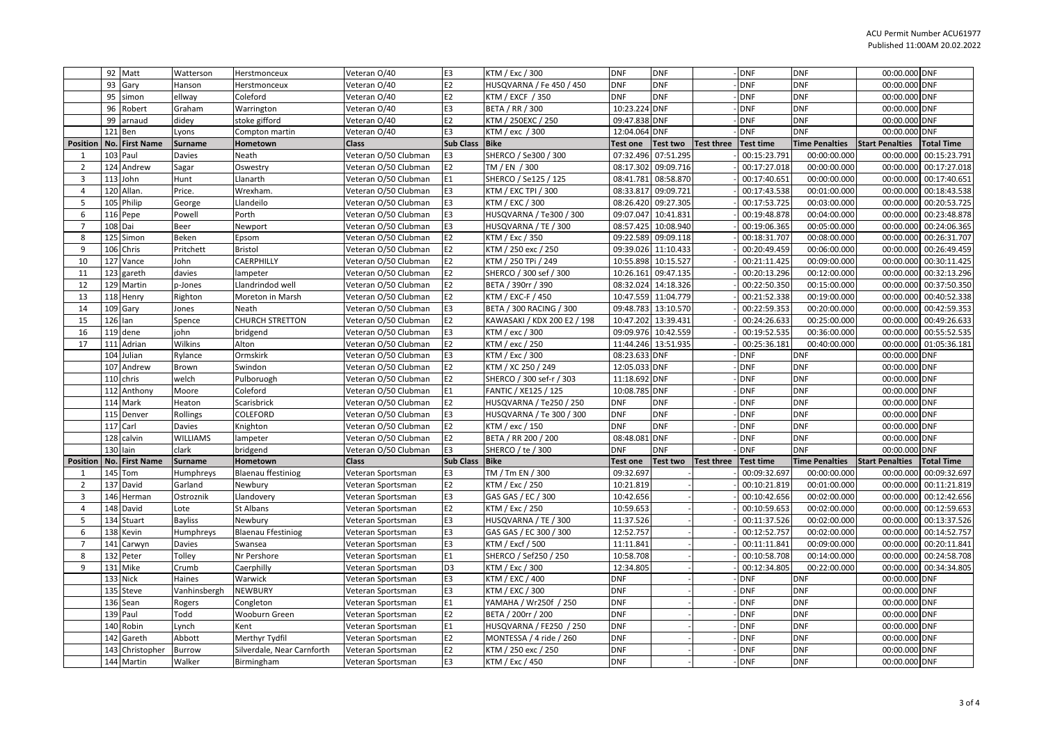|                         |         | 92 Matt                   | Watterson       | Herstmonceux                                 | Veteran O/40                           | E3                   | KTM / Exc / 300                                    | <b>DNF</b>               | <b>DNF</b>          |                   | <b>DNF</b>               | <b>DNF</b>               | 00:00.000 DNF                  |                        |
|-------------------------|---------|---------------------------|-----------------|----------------------------------------------|----------------------------------------|----------------------|----------------------------------------------------|--------------------------|---------------------|-------------------|--------------------------|--------------------------|--------------------------------|------------------------|
|                         | 93      | Gary                      | Hanson          | Herstmonceux                                 | Veteran O/40                           | E2                   | HUSQVARNA / Fe 450 / 450                           | <b>DNF</b>               | <b>DNF</b>          |                   | <b>DNF</b>               | <b>DNF</b>               | 00:00.000 DNF                  |                        |
|                         | 95      | simon                     | ellway          | Coleford                                     | Veteran O/40                           | E <sub>2</sub>       | KTM / EXCF / 350                                   | <b>DNF</b>               | <b>DNF</b>          |                   | <b>DNF</b>               | <b>DNF</b>               | 00:00.000 DNF                  |                        |
|                         |         | 96 Robert                 | Graham          | Warrington                                   | Veteran O/40                           | E3                   | BETA / RR / 300                                    | 10:23.224 DNF            |                     |                   | <b>DNF</b>               | <b>DNF</b>               | 00:00.000 DNF                  |                        |
|                         | 99      | arnaud                    | didey           | stoke gifford                                | Veteran O/40                           | E <sub>2</sub>       | KTM / 250EXC / 250                                 | 09:47.838 DNF            |                     |                   | <b>DNF</b>               | <b>DNF</b>               | 00:00.000 DNF                  |                        |
|                         |         | 121 Ben                   | Lyons           | Compton martin                               | Veteran O/40                           | E3                   | KTM / exc / 300                                    | 12:04.064 DNF            |                     |                   | DNF                      | <b>DNF</b>               | 00:00.000 DNF                  |                        |
| <b>Position</b>         |         | No. First Name            | <b>Surname</b>  | Hometown                                     | <b>Class</b>                           | <b>Sub Class</b>     | <b>Bike</b>                                        | Test one                 | <b>Test two</b>     | Test three        | <b>Test time</b>         | <b>Time Penalties</b>    | <b>Start Penalties</b>         | <b>Total Time</b>      |
|                         |         | 103 Paul                  | Davies          | Neath                                        | Veteran O/50 Clubman                   | E3                   | SHERCO / Se300 / 300                               |                          | 07:32.496 07:51.295 |                   | 00:15:23.791             | 00:00:00.000             | 00:00.000                      | 00:15:23.791           |
| $\overline{z}$          |         | 124 Andrew                | Sagar           | Oswestry                                     | Veteran O/50 Clubman                   | E <sub>2</sub>       | TM / EN / 300                                      | 08:17.302                | 09:09.716           |                   | 00:17:27.018             | 00:00:00.000             | 00:00.000                      | 00:17:27.018           |
| $\overline{\mathbf{3}}$ |         | 113 John                  | Hunt            | <b>Janarth</b>                               | Veteran O/50 Clubman                   | E1                   | SHERCO / Se125 / 125                               | 08:41.781                | 08:58.870           |                   | 00:17:40.651             | 00:00:00.000             | 00:00.000                      | 00:17:40.651           |
| $\overline{4}$          |         | 120 Allan                 | Price.          | Wrexham                                      | Veteran O/50 Clubman                   | E <sub>3</sub>       | KTM / EXC TPI / 300                                | 08:33.817                | 09:09.721           |                   | 00:17:43.538             | 00:01:00.000             | 00:00.000                      | 00:18:43.538           |
| 5                       |         | 105 Philip                | George          | Llandeilo                                    | Veteran O/50 Clubman                   | E3                   | KTM / EXC / 300                                    | 08:26.420                | 09:27.305           |                   | 00:17:53.725             | 00:03:00.000             | 00:00.000                      | 00:20:53.725           |
| 6                       |         | 116 Pepe                  | Powell          | Porth                                        | Veteran O/50 Clubman                   | E3                   | HUSQVARNA / Te300 / 300                            | 09:07.047                | 10:41.831           |                   | 00:19:48.878             | 00:04:00.000             | 00:00.000                      | 00:23:48.878           |
| $\overline{7}$          | 108 Dai |                           | Beer            | Newport                                      | Veteran O/50 Clubman                   | E3                   | HUSQVARNA / TE / 300                               |                          | 08:57.425 10:08.940 |                   | 00:19:06.365             | 00:05:00.000             | 00:00.000                      | 00:24:06.365           |
| 8                       |         | 125 Simon                 | Beken           | Epsom                                        | Veteran O/50 Clubman                   | E <sub>2</sub>       | KTM / Exc / 350                                    | 09:22.589                | 09:09.118           |                   | 00:18:31.707             | 00:08:00.000             | 00:00.000                      | 00:26:31.707           |
| 9                       |         | 106 Chris                 | Pritchett       | <b>Bristol</b>                               | Veteran O/50 Clubman                   | E <sub>2</sub>       | KTM / 250 exc / 250                                |                          | 09:39.026 11:10.433 |                   | 00:20:49.459             | 00:06:00.000             | 00:00.000                      | 00:26:49.459           |
| 10                      |         | 127 Vance                 | John            | CAERPHILLY                                   | Veteran O/50 Clubman                   | E <sub>2</sub>       | KTM / 250 TPi / 249                                |                          | 10:55.898 10:15.527 |                   | 00:21:11.425             | 00:09:00.000             |                                | 00:00.000 00:30:11.425 |
| 11                      |         | 123 gareth                | davies          | ampeter                                      | Veteran O/50 Clubman                   | E <sub>2</sub>       | SHERCO / 300 sef / 300                             | 10:26.161                | 09:47.135           |                   | 00:20:13.296             | 00:12:00.000             | 00:00.000                      | 00:32:13.296           |
| 12                      |         | 129 Martin                | p-Jones         | Llandrindod well                             | Veteran O/50 Clubman                   | E <sub>2</sub>       | BETA / 390rr / 390                                 |                          | 08:32.024 14:18.326 |                   | 00:22:50.350             | 00:15:00.000             | 00:00.000                      | 00:37:50.350           |
| 13                      |         | 118 Henry                 | Righton         | Moreton in Marsh                             | Veteran O/50 Clubman                   | E <sub>2</sub>       | KTM / EXC-F / 450                                  |                          | 10:47.559 11:04.779 |                   | 00:21:52.338             | 00:19:00.000             | 00:00.000                      | 00:40:52.338           |
| 14                      |         | 109 Gary                  | Jones           | Neath                                        | Veteran O/50 Clubman                   | E3                   | BETA / 300 RACING / 300                            |                          | 09:48.783 13:10.570 |                   | 00:22:59.353             | 00:20:00.000             | 00:00.000                      | 00:42:59.353           |
| 15                      | 126 Ian |                           | Spence          | CHURCH STRETTON                              | Veteran O/50 Clubman                   | E <sub>2</sub>       | KAWASAKI / KDX 200 E2 / 198                        | 10:47.202                | 13:39.431           |                   | 00:24:26.633             | 00:25:00.000             | 00:00.000                      | 00:49:26.633           |
| 16                      |         | 119 dene                  | ohn             | bridgend                                     | Veteran O/50 Clubman                   | E3                   | KTM / exc / 300                                    |                          | 09:09.976 10:42.559 |                   | 00:19:52.535             | 00:36:00.000             | 00:00.000                      | 00:55:52.535           |
| 17                      |         | 111 Adrian                | Wilkins         | Alton                                        | Veteran O/50 Clubman                   | E <sub>2</sub>       | KTM / exc / 250                                    |                          | 11:44.246 13:51.935 |                   | 00:25:36.181             | 00:40:00.000             | 00:00.000                      | 01:05:36.181           |
|                         |         | 104 Julian                | Rylance         | Ormskirk                                     | Veteran O/50 Clubman                   | E3                   | KTM / Exc / 300                                    | 08:23.633 DNF            |                     |                   | DNF                      | <b>DNF</b>               | 00:00.000 DNF                  |                        |
|                         |         | 107 Andrew                | Brown           | Swindon                                      | Veteran O/50 Clubman                   | E <sub>2</sub>       | KTM / XC 250 / 249                                 | 12:05.033 DNF            |                     |                   | DNF                      | <b>DNF</b>               | 00:00.000 DNF                  |                        |
|                         |         | 110 chris                 | welch           | Pulboruogh                                   | Veteran O/50 Clubman                   | E <sub>2</sub>       | SHERCO / 300 sef-r / 303                           | 11:18.692 DNF            |                     |                   | <b>DNF</b>               | <b>DNF</b>               | 00:00.000 DNF                  |                        |
|                         |         | 112 Anthony               | Moore           | Coleford                                     | Veteran O/50 Clubman                   | E1                   | FANTIC / XE125 / 125                               | 10:08.785 DNF            |                     |                   | <b>DNF</b>               | <b>DNF</b>               | 00:00.000 DNF                  |                        |
|                         |         | 114 Mark                  | Heaton          | Scarisbrick                                  | Veteran O/50 Clubman                   | E <sub>2</sub>       | HUSQVARNA / Te250 / 250                            | <b>DNF</b>               | <b>DNF</b>          |                   | <b>DNF</b>               | <b>DNF</b>               | 00:00.000 DNF                  |                        |
|                         |         | 115 Denver                | Rollings        | COLEFORD                                     | Veteran O/50 Clubman                   | E3                   | HUSQVARNA / Te 300 / 300                           | <b>DNF</b>               | <b>DNF</b>          |                   | <b>DNF</b>               | <b>DNF</b>               | 00:00.000 DNF                  |                        |
|                         | 117     | Carl                      | Davies          | Knighton                                     | Veteran O/50 Clubman                   | E <sub>2</sub>       | KTM / exc / 150                                    | <b>DNF</b>               | <b>DNF</b>          |                   | <b>DNF</b>               | <b>DNF</b>               | 00:00.000 DNF                  |                        |
|                         |         | 128 calvin                | <b>WILLIAMS</b> | ampeter                                      | Veteran O/50 Clubman                   | E <sub>2</sub>       | BETA / RR 200 / 200                                | 08:48.081                | <b>DNF</b>          |                   | DNF                      | <b>DNF</b>               | 00:00.000 DNF                  |                        |
|                         |         | 130 lain                  | clark           | bridgend                                     | Veteran O/50 Clubman                   | E3                   | SHERCO / te / 300                                  | <b>DNF</b>               | <b>DNF</b>          |                   | <b>DNF</b>               | <b>DNF</b>               | 00:00.000 DNF                  |                        |
| <b>Position</b>         |         | No. First Name            | <b>Surname</b>  | Hometown                                     | <b>Class</b>                           | Sub Class            | <b>Bike</b>                                        | Test one                 | <b>Test two</b>     | <b>Test three</b> | <b>Test time</b>         | <b>Time Penalties</b>    | <b>Start Penalties</b>         | <b>Total Time</b>      |
| $\mathbf{1}$            |         | 145 Tom                   | Humphreys       | <b>Blaenau ffestiniog</b>                    | Veteran Sportsman                      | E3                   | TM / Tm EN / 300                                   | 09:32.697                |                     |                   | 00:09:32.697             | 00:00:00.000             | 00:00.000                      | 00:09:32.697           |
| $\overline{z}$          |         | 137 David                 | Garland         | Newbury                                      | Veteran Sportsman                      | E <sub>2</sub>       | KTM / Exc / 250                                    | 10:21.819                |                     |                   | 00:10:21.819             | 00:01:00.000             | 00:00.000                      | 00:11:21.819           |
| $\overline{3}$          |         | 146 Herman                | Ostroznik       | Llandovery                                   | Veteran Sportsman                      | E3                   | GAS GAS / EC / 300                                 | 10:42.656                |                     |                   | 00:10:42.656             | 00:02:00.000             | 00:00.000                      | 00:12:42.656           |
| $\overline{4}$          |         | 148 David                 | Lote            | St Albans                                    | Veteran Sportsman                      | E <sub>2</sub>       | KTM / Exc / 250                                    | 10:59.653                |                     |                   | 00:10:59.653             | 00:02:00.000             | 00:00.000                      | 00:12:59.653           |
| 5                       |         | 134 Stuart                | <b>Bayliss</b>  | Newbury                                      | Veteran Sportsman                      | E3                   | HUSQVARNA / TE / 300                               | 11:37.526                |                     |                   | 00:11:37.526             | 00:02:00.000             | 00:00.000                      | 00:13:37.526           |
| 6                       |         | 138 Kevin                 | Humphreys       | <b>Blaenau Ffestiniog</b>                    | Veteran Sportsman                      | E3                   | GAS GAS / EC 300 / 300                             | 12:52.757                |                     |                   | 00:12:52.757             | 00:02:00.000             | 00:00.000                      | 00:14:52.757           |
| $\overline{7}$          |         | 141 Carwyn                | <b>Davies</b>   | Swansea                                      | Veteran Sportsman                      | E3                   | KTM / Excf / 500                                   | 11:11.841                |                     |                   | 00:11:11.841             | 00:09:00.000             | 00:00.000                      | 00:20:11.841           |
| 8                       |         | 132 Peter                 | Tolley          | Nr Pershore                                  | Veteran Sportsman                      | E1                   | SHERCO / Sef250 / 250                              | 10:58.708                |                     |                   | 00:10:58.708             | 00:14:00.000             | 00:00.000                      | 00:24:58.708           |
| 9                       |         | 131 Mike                  | Crumb           | Caerphilly                                   | Veteran Sportsman                      | D <sub>3</sub>       | KTM / Exc / 300                                    | 12:34.805                |                     |                   | 00:12:34.805             | 00:22:00.000             |                                | 00:00.000 00:34:34.805 |
|                         |         | 133 Nick                  | Haines          | Warwick                                      | Veteran Sportsman                      | E3                   | KTM / EXC / 400                                    | <b>DNF</b>               |                     |                   | <b>DNF</b>               | <b>DNF</b>               | 00:00.000 DNF                  |                        |
|                         |         | 135 Steve                 | Vanhinsbergh    | NEWBURY                                      | Veteran Sportsman                      | E3                   | KTM / EXC / 300                                    | <b>DNF</b>               |                     |                   | DNF                      | <b>DNF</b>               | 00:00.000 DNF                  |                        |
|                         |         | 136 Sean                  | Rogers          | Congleton                                    | Veteran Sportsman                      | E1                   | YAMAHA / Wr250f / 250                              | <b>DNF</b><br><b>DNF</b> |                     |                   | <b>DNF</b>               | <b>DNF</b>               | 00:00.000 DNF                  |                        |
|                         |         | 139 Paul                  | Todd            | Wooburn Green                                | Veteran Sportsman                      | E <sub>2</sub><br>E1 | BETA / 200rr / 200                                 |                          |                     |                   | <b>DNF</b>               | <b>DNF</b><br><b>DNF</b> | 00:00.000 DNF                  |                        |
|                         |         | 140 Robin                 | .ynch<br>Abbott | Kent                                         | Veteran Sportsman                      | E <sub>2</sub>       | HUSQVARNA / FE250 / 250<br>MONTESSA / 4 ride / 260 | <b>DNF</b><br><b>DNF</b> |                     |                   | <b>DNF</b><br><b>DNF</b> | <b>DNF</b>               | 00:00.000 DNF<br>00:00.000 DNF |                        |
|                         | 143     | 142 Gareth<br>Christopher |                 | Merthyr Tydfil<br>Silverdale, Near Carnforth | Veteran Sportsman<br>Veteran Sportsman | E <sub>2</sub>       | KTM / 250 exc / 250                                | <b>DNF</b>               |                     |                   | <b>DNF</b>               | <b>DNF</b>               | 00:00.000 DNF                  |                        |
|                         |         |                           | <b>Burrow</b>   |                                              |                                        | E3                   |                                                    | <b>DNF</b>               |                     |                   |                          |                          |                                |                        |
|                         |         | 144 Martin                | Walker          | Birmingham                                   | Veteran Sportsman                      |                      | KTM / Exc / 450                                    |                          |                     |                   | <b>DNF</b>               | <b>DNF</b>               | 00:00.000 DNF                  |                        |